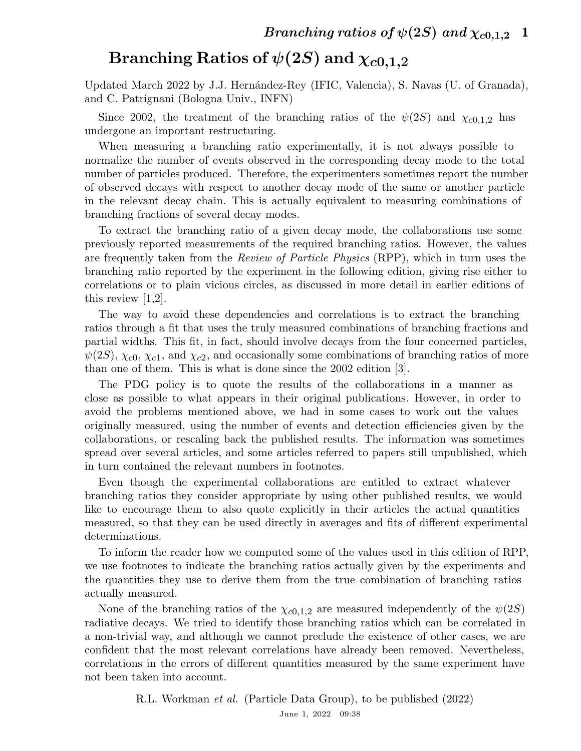## Branching Ratios of  $\psi(2S)$  and  $\chi_{c0,1,2}$

Updated March 2022 by J.J. Hernández-Rey (IFIC, Valencia), S. Navas (U. of Granada), and C. Patrignani (Bologna Univ., INFN)

Since 2002, the treatment of the branching ratios of the  $\psi(2S)$  and  $\chi_{c0,1,2}$  has undergone an important restructuring.

When measuring a branching ratio experimentally, it is not always possible to normalize the number of events observed in the corresponding decay mode to the total number of particles produced. Therefore, the experimenters sometimes report the number of observed decays with respect to another decay mode of the same or another particle in the relevant decay chain. This is actually equivalent to measuring combinations of branching fractions of several decay modes.

To extract the branching ratio of a given decay mode, the collaborations use some previously reported measurements of the required branching ratios. However, the values are frequently taken from the *Review of Particle Physics* (RPP), which in turn uses the branching ratio reported by the experiment in the following edition, giving rise either to correlations or to plain vicious circles, as discussed in more detail in earlier editions of this review  $|1,2|$ .

The way to avoid these dependencies and correlations is to extract the branching ratios through a fit that uses the truly measured combinations of branching fractions and partial widths. This fit, in fact, should involve decays from the four concerned particles,  $\psi(2S)$ ,  $\chi_{c0}$ ,  $\chi_{c1}$ , and  $\chi_{c2}$ , and occasionally some combinations of branching ratios of more than one of them. This is what is done since the 2002 edition [3].

The PDG policy is to quote the results of the collaborations in a manner as close as possible to what appears in their original publications. However, in order to avoid the problems mentioned above, we had in some cases to work out the values originally measured, using the number of events and detection efficiencies given by the collaborations, or rescaling back the published results. The information was sometimes spread over several articles, and some articles referred to papers still unpublished, which in turn contained the relevant numbers in footnotes.

Even though the experimental collaborations are entitled to extract whatever branching ratios they consider appropriate by using other published results, we would like to encourage them to also quote explicitly in their articles the actual quantities measured, so that they can be used directly in averages and fits of different experimental determinations.

To inform the reader how we computed some of the values used in this edition of RPP, we use footnotes to indicate the branching ratios actually given by the experiments and the quantities they use to derive them from the true combination of branching ratios actually measured.

None of the branching ratios of the  $\chi_{c0,1,2}$  are measured independently of the  $\psi(2S)$ radiative decays. We tried to identify those branching ratios which can be correlated in a non-trivial way, and although we cannot preclude the existence of other cases, we are confident that the most relevant correlations have already been removed. Nevertheless, correlations in the errors of different quantities measured by the same experiment have not been taken into account.

> R.L. Workman et al. (Particle Data Group), to be published (2022) June 1, 2022 09:38